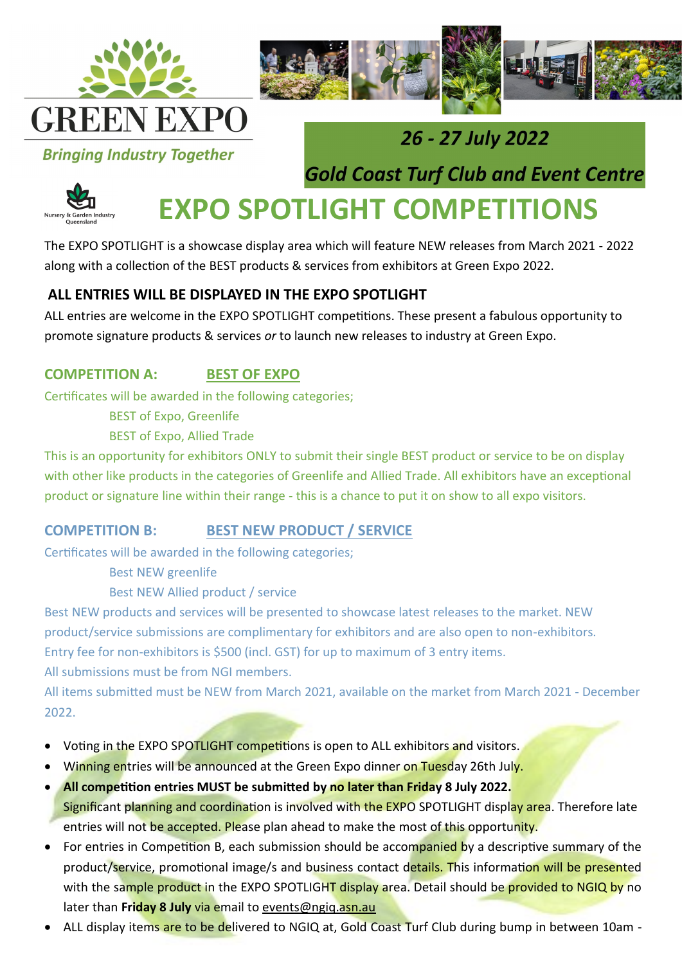



### **Bringing Industry Together**

## 26 - 27 July 2022

**Gold Coast Turf Club and Event Centre** 



# **EXPO SPOTLIGHT COMPETITIONS**

The EXPO SPOTLIGHT is a showcase display area which will feature NEW releases from March 2021 - 2022 along with a collection of the BEST products & services from exhibitors at Green Expo 2022.

#### **ALL ENTRIES WILL BE DISPLAYED IN THE EXPO SPOTLIGHT**

ALL entries are welcome in the EXPO SPOTLIGHT competitions. These present a fabulous opportunity to promote signature products & services *or* to launch new releases to industry at Green Expo.

#### **COMPETITION A: BEST OF EXPO**

Certificates will be awarded in the following categories;

BEST of Expo, Greenlife

BEST of Expo, Allied Trade

This is an opportunity for exhibitors ONLY to submit their single BEST product or service to be on display with other like products in the categories of Greenlife and Allied Trade. All exhibitors have an exceptional product or signature line within their range - this is a chance to put it on show to all expo visitors.

#### **COMPETITION B: BEST NEW PRODUCT / SERVICE**

Certificates will be awarded in the following categories;

Best NEW greenlife

Best NEW Allied product / service

Best NEW products and services will be presented to showcase latest releases to the market. NEW product/service submissions are complimentary for exhibitors and are also open to non-exhibitors. Entry fee for non-exhibitors is \$500 (incl. GST) for up to maximum of 3 entry items. All submissions must be from NGI members.

All items submitted must be NEW from March 2021, available on the market from March 2021 - December 2022.

- Voting in the EXPO SPOTLIGHT competitions is open to ALL exhibitors and visitors.
- Winning entries will be announced at the Green Expo dinner on Tuesday 26th July.
- **All competition entries MUST be submitted by no later than Friday 8 July 2022.**  Significant planning and coordination is involved with the EXPO SPOTLIGHT display area. Therefore late entries will not be accepted. Please plan ahead to make the most of this opportunity.
- For entries in Competition B, each submission should be accompanied by a descriptive summary of the product/service, promotional image/s and business contact details. This information will be presented with the sample product in the EXPO SPOTLIGHT display area. Detail should be provided to NGIQ by no later than Friday 8 July via email to events@ngiq.asn.au
- ALL display items are to be delivered to NGIQ at, Gold Coast Turf Club during bump in between 10am -